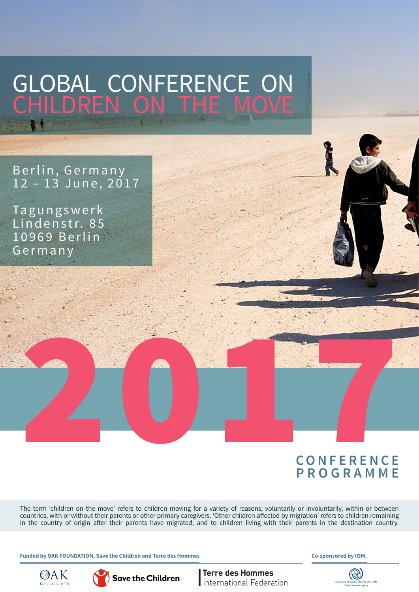# GLOBAL CONFERENCE ON CHILDREN ON THE MOVE

Berlin, Germany 1 2 – 13 June, 2017

Tagungswerk Lindenstr. 85 10969 Berlin Germany

# **C O N F E R E N C E PROGRAMME** 2017

The term 'children on the move' refers to children moving for a variety of reasons, voluntarily or involuntarily, within or between countries, with or without their parents or other primary caregivers. 'Other children affected by migration' refers to children remaining in the country of origin after their parents have migrated, and to children living with their parents in the destination country.

**Funded by OAK FOUNDATION, Save the Children and Terre des Hommes**

**Co-sponsored by IOM.**





**Terre des Hommes** International Federation

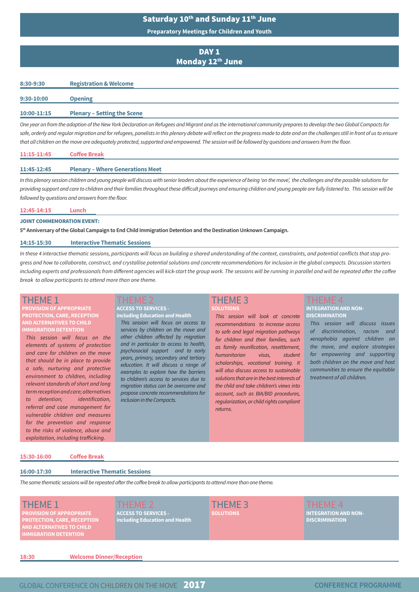### Saturday 10<sup>th</sup> and Sunday 11<sup>th</sup> June

**Preparatory Meetings for Children and Youth**

#### DAY<sub>1</sub> Monday 12th June

#### **8:30-9:30 Registration & Welcome**

| <b>Plenary - Setting the Scene</b><br>10:00-11:15 |  |  |  |  |  |  |
|---------------------------------------------------|--|--|--|--|--|--|

*One year on from the adoption of the New York Declaration on Refugees and Migrant and as the international community prepares to develop the two Global Compacts for*  safe, orderly and regular migration and for refugees, panelists in this plenary debate will reflect on the progress made to date and on the challenges still in front of us to ensure *that all children on the move are adequately protected, supported and empowered. The session will be followed by questions and answers from the floor.* 

#### **11:45-12:45 Plenary – Where Generations Meet**

*In this plenary session children and young people will discuss with senior leaders about the experience of being 'on the move', the challenges and the possible solutions for providing support and care to children and their families throughout these difficult journeys and ensuring children and young people are fully listened to. This session will be followed by questions and answers from the floor.*

#### **12:45-14:15 Lunch**

#### JOINT COMMEMORATION EVENT:

**5th Anniversary of the Global Campaign to End Child Immigration Detention and the Destination Unknown Campaign.**

#### **14:15-15:30 Interactive Thematic Sessions**

*In these 4 interactive thematic sessions, participants will focus on building a shared understanding of the context, constraints, and potential conflicts that stop progress and how to collaborate, construct, and crystallise potential solutions and concrete recommendations for inclusion in the global compacts. Discussion starters*  including experts and professionals from different agencies will kick-start the group work. The sessions will be running in parallel and will be repeated after the coffee *break to allow participants to attend more than one theme.*

#### THEME 1

#### **PROVISION OF APPROPRIATE PROTECTION, CARE, RECEPTION AND ALTERNATIVES TO CHILD IMMIGRATION DETENTION**

*This session will focus on the elements of systems of protection and care for children on the move that should be in place to provide a safe, nurturing and protective environment to children, including relevant standards of short and long term reception and care; alternatives to detention; identification, referral and case management for vulnerable children and measures for the prevention and response to the risks of violence, abuse and exploitation, including trafficking.*

#### **ACCESS TO SERVICES including Education and Health** *This session will focus on access to services by children on the move and other children affected by migration and in particular to access to health, psychosocial support and to early years, primary, secondary and tertiary*

*education. It will discuss a range of examples to explore how the barriers to children's access to services due to migration status can be overcome and propose concrete recommendations for inclusion in the Compacts.*

# THEME 3

#### **SOLUTIONS**

*This session will look at concrete recommendations to increase access to safe and legal migration pathways for children and their families, such as family reunification, resettlement, humanitarian visas, student scholarships, vocational training. It will also discuss access to sustainable solutions that are in the best interests of the child and take children's views into account, such as BIA/BID procedures, regularization, or child rights compliant returns.*

#### **INTEGRATION AND NON-DISCRIMINATION**

*This session will discuss issues of discrimination, racism and xenophobia against children on the move, and explore strategies for empowering and supporting both children on the move and host communities to ensure the equitable treatment of all children.* 

#### **15:30-16:00 Coffee Break**

#### **16:00-17:30 Interactive Thematic Sessions**

*The same thematic sessions will be repeated after the coffee break to allow participants to attend more than one theme.*

#### THEME 1

**PROVISION OF APPROPRIATE PROTECTION, CARE, RECEPTION AND ALTERNATIVES TO CHILD** 

## **ACCESS TO SERVICES including Education and Health**

THEME 3 **LUTIONS** 

**INTEGRATION AND NON-DISCRIMINATION**

**18:30 Welcome Dinner/Reception**